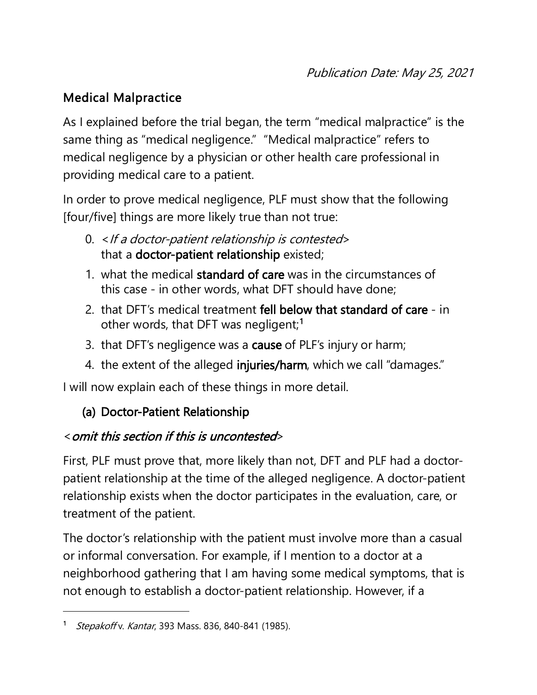### Medical Malpractice

As I explained before the trial began, the term "medical malpractice" is the same thing as "medical negligence." "Medical malpractice" refers to medical negligence by a physician or other health care professional in providing medical care to a patient.

In order to prove medical negligence, PLF must show that the following [four/five] things are more likely true than not true:

- 0. < If a doctor-patient relationship is contested> that a doctor-patient relationship existed;
- 1. what the medical standard of care was in the circumstances of this case - in other words, what DFT should have done;
- 2. that DFT's medical treatment fell below that standard of care in other words, that DFT was negligent;<sup>[1](#page-0-0)</sup>
- 3. that DFT's negligence was a cause of PLF's injury or harm;
- 4. the extent of the alleged injuries/harm, which we call "damages."

I will now explain each of these things in more detail.

## (a) Doctor-Patient Relationship

#### <omit this section if this is uncontested>

First, PLF must prove that, more likely than not, DFT and PLF had a doctorpatient relationship at the time of the alleged negligence. A doctor-patient relationship exists when the doctor participates in the evaluation, care, or treatment of the patient.

The doctor's relationship with the patient must involve more than a casual or informal conversation. For example, if I mention to a doctor at a neighborhood gathering that I am having some medical symptoms, that is not enough to establish a doctor-patient relationship. However, if a

<span id="page-0-0"></span>Stepakoff v. Kantar, 393 Mass. 836, 840-841 (1985).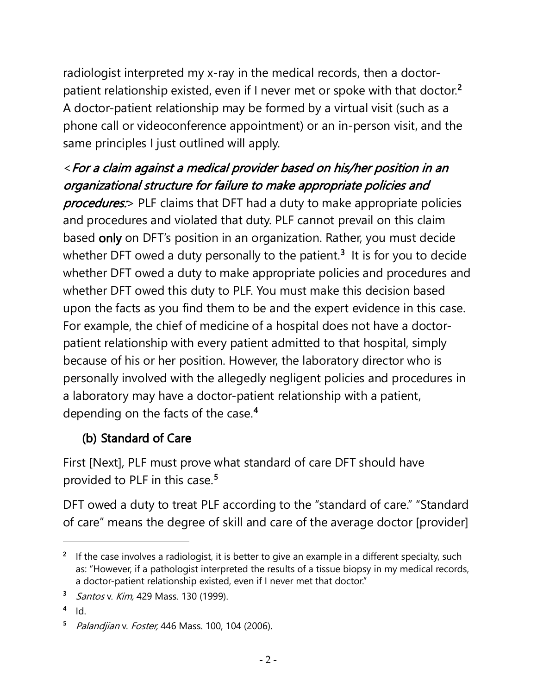radiologist interpreted my x-ray in the medical records, then a doctor-patient relationship existed, even if I never met or spoke with that doctor.<sup>[2](#page-1-0)</sup> A doctor-patient relationship may be formed by a virtual visit (such as a phone call or videoconference appointment) or an in-person visit, and the same principles I just outlined will apply.

## <For a claim against a medical provider based on his/her position in an organizational structure for failure to make appropriate policies and

**procedures:**> PLF claims that DFT had a duty to make appropriate policies and procedures and violated that duty. PLF cannot prevail on this claim based only on DFT's position in an organization. Rather, you must decide whether DFT owed a duty personally to the patient.<sup>[3](#page-1-1)</sup> It is for you to decide whether DFT owed a duty to make appropriate policies and procedures and whether DFT owed this duty to PLF. You must make this decision based upon the facts as you find them to be and the expert evidence in this case. For example, the chief of medicine of a hospital does not have a doctorpatient relationship with every patient admitted to that hospital, simply because of his or her position. However, the laboratory director who is personally involved with the allegedly negligent policies and procedures in a laboratory may have a doctor-patient relationship with a patient, depending on the facts of the case.<sup>[4](#page-1-2)</sup>

#### (b) Standard of Care

First [Next], PLF must prove what standard of care DFT should have provided to PLF in this case.<sup>[5](#page-1-3)</sup>

DFT owed a duty to treat PLF according to the "standard of care." "Standard of care" means the degree of skill and care of the average doctor [provider]

<span id="page-1-0"></span><sup>&</sup>lt;sup>2</sup> If the case involves a radiologist, it is better to give an example in a different specialty, such as: "However, if a pathologist interpreted the results of a tissue biopsy in my medical records, a doctor-patient relationship existed, even if I never met that doctor."

<span id="page-1-1"></span><sup>&</sup>lt;sup>3</sup> Santos v. Kim, 429 Mass. 130 (1999).

<span id="page-1-2"></span> $4$  Id.

<span id="page-1-3"></span><sup>5</sup> Palandjian v. Foster, 446 Mass. 100, 104 (2006).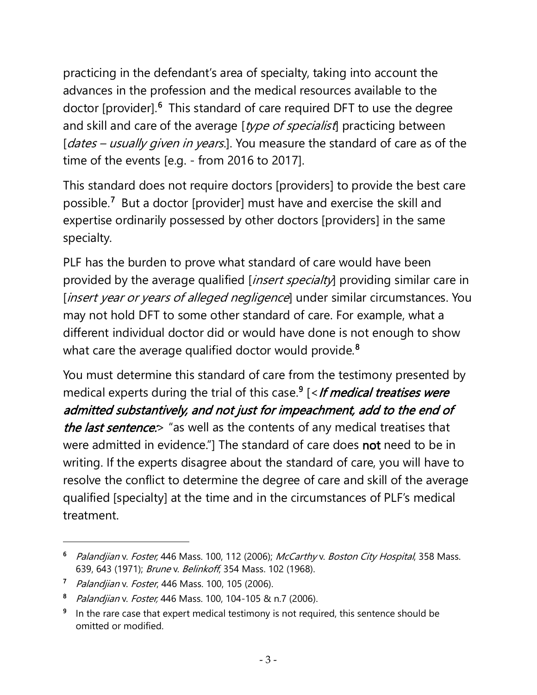practicing in the defendant's area of specialty, taking into account the advances in the profession and the medical resources available to the doctor [provider].<sup>[6](#page-2-0)</sup> This standard of care required DFT to use the degree and skill and care of the average [type of specialist] practicing between [dates – usually given in years.]. You measure the standard of care as of the time of the events [e.g. - from 2016 to 2017].

This standard does not require doctors [providers] to provide the best care possible.[7](#page-2-1) But a doctor [provider] must have and exercise the skill and expertise ordinarily possessed by other doctors [providers] in the same specialty.

PLF has the burden to prove what standard of care would have been provided by the average qualified [*insert specialty*] providing similar care in [*insert year or years of alleged negligence*] under similar circumstances. You may not hold DFT to some other standard of care. For example, what a different individual doctor did or would have done is not enough to show what care the average qualified doctor would provide. $^{\boldsymbol{8}}$  $^{\boldsymbol{8}}$  $^{\boldsymbol{8}}$ 

You must determine this standard of care from the testimony presented by medical experts during the trial of this case.<sup>[9](#page-2-3)</sup> [<*If medical treatises were* admitted substantively, and not just for impeachment, add to the end of the last sentence:  $\sim$  "as well as the contents of any medical treatises that were admitted in evidence."] The standard of care does not need to be in writing. If the experts disagree about the standard of care, you will have to resolve the conflict to determine the degree of care and skill of the average qualified [specialty] at the time and in the circumstances of PLF's medical treatment.

<span id="page-2-0"></span><sup>&</sup>lt;sup>6</sup> Palandjian v. Foster, 446 Mass. 100, 112 (2006); McCarthy v. Boston City Hospital, 358 Mass. 639, 643 (1971); Brune v. Belinkoff, 354 Mass. 102 (1968).

<span id="page-2-1"></span><sup>&</sup>lt;sup>7</sup> Palandjian v. Foster, 446 Mass. 100, 105 (2006).

<span id="page-2-2"></span><sup>&</sup>lt;sup>8</sup> Palandjian v. Foster, 446 Mass. 100, 104-105 & n.7 (2006).

<span id="page-2-3"></span>In the rare case that expert medical testimony is not required, this sentence should be omitted or modified.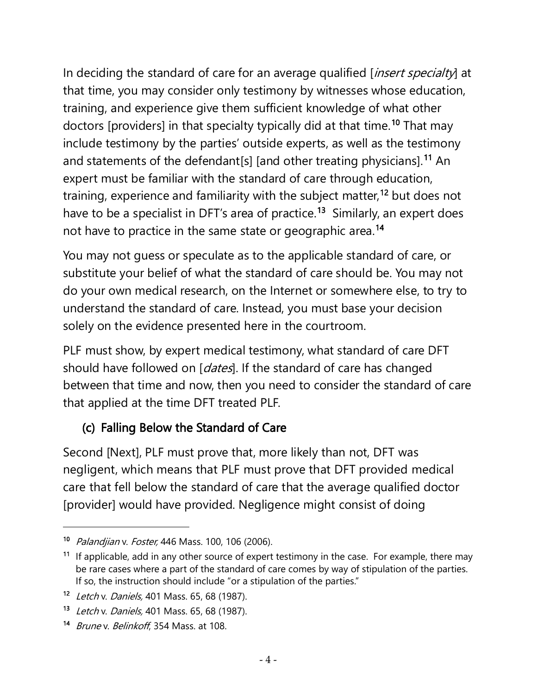In deciding the standard of care for an average qualified [*insert specialty*] at that time, you may consider only testimony by witnesses whose education, training, and experience give them sufficient knowledge of what other doctors [providers] in that specialty typically did at that time.<sup>[10](#page-3-0)</sup> That may include testimony by the parties' outside experts, as well as the testimony and statements of the defendant[s] [and other treating physicians].<sup>[11](#page-3-1)</sup> An expert must be familiar with the standard of care through education, training, experience and familiarity with the subject matter, [12](#page-3-2) but does not have to be a specialist in DFT's area of practice.<sup>[13](#page-3-3)</sup> Similarly, an expert does not have to practice in the same state or geographic area.<sup>[14](#page-3-4)</sup>

You may not guess or speculate as to the applicable standard of care, or substitute your belief of what the standard of care should be. You may not do your own medical research, on the Internet or somewhere else, to try to understand the standard of care. Instead, you must base your decision solely on the evidence presented here in the courtroom.

PLF must show, by expert medical testimony, what standard of care DFT should have followed on [*dates*]. If the standard of care has changed between that time and now, then you need to consider the standard of care that applied at the time DFT treated PLF.

#### (c) Falling Below the Standard of Care

Second [Next], PLF must prove that, more likely than not, DFT was negligent, which means that PLF must prove that DFT provided medical care that fell below the standard of care that the average qualified doctor [provider] would have provided. Negligence might consist of doing

<span id="page-3-0"></span><sup>10</sup> Palandjian v. Foster, 446 Mass. 100, 106 (2006).

<span id="page-3-1"></span><sup>&</sup>lt;sup>11</sup> If applicable, add in any other source of expert testimony in the case. For example, there may be rare cases where a part of the standard of care comes by way of stipulation of the parties. If so, the instruction should include "or a stipulation of the parties."

<span id="page-3-2"></span><sup>12</sup> Letch v. Daniels, 401 Mass. 65, 68 (1987).

<span id="page-3-3"></span><sup>13</sup> Letch v. Daniels, 401 Mass. 65, 68 (1987).

<span id="page-3-4"></span><sup>14</sup> Brune v. Belinkoff, 354 Mass. at 108.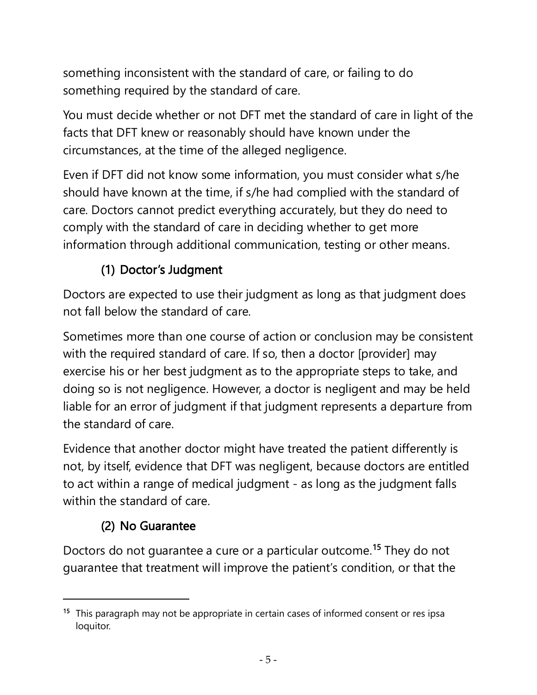something inconsistent with the standard of care, or failing to do something required by the standard of care.

You must decide whether or not DFT met the standard of care in light of the facts that DFT knew or reasonably should have known under the circumstances, at the time of the alleged negligence.

Even if DFT did not know some information, you must consider what s/he should have known at the time, if s/he had complied with the standard of care. Doctors cannot predict everything accurately, but they do need to comply with the standard of care in deciding whether to get more information through additional communication, testing or other means.

# (1) Doctor's Judgment

Doctors are expected to use their judgment as long as that judgment does not fall below the standard of care.

Sometimes more than one course of action or conclusion may be consistent with the required standard of care. If so, then a doctor [provider] may exercise his or her best judgment as to the appropriate steps to take, and doing so is not negligence. However, a doctor is negligent and may be held liable for an error of judgment if that judgment represents a departure from the standard of care.

Evidence that another doctor might have treated the patient differently is not, by itself, evidence that DFT was negligent, because doctors are entitled to act within a range of medical judgment - as long as the judgment falls within the standard of care.

# (2) No Guarantee

Doctors do not guarantee a cure or a particular outcome.[15](#page-4-0) They do not guarantee that treatment will improve the patient's condition, or that the

<span id="page-4-0"></span><sup>&</sup>lt;sup>15</sup> This paragraph may not be appropriate in certain cases of informed consent or res ipsa loquitor.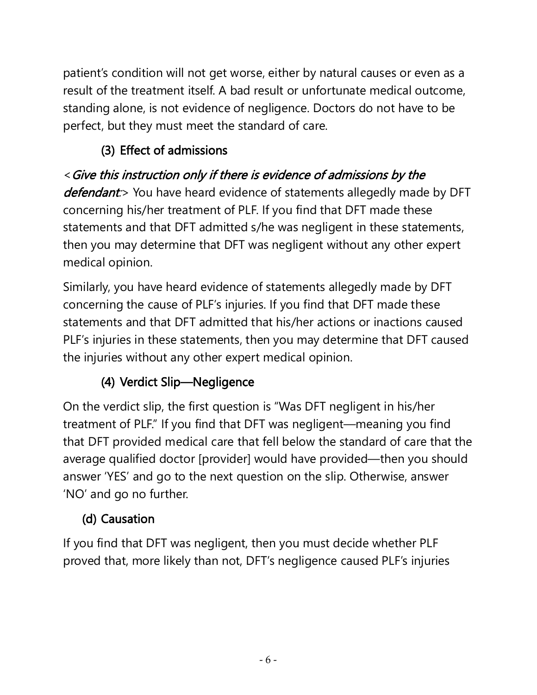patient's condition will not get worse, either by natural causes or even as a result of the treatment itself. A bad result or unfortunate medical outcome, standing alone, is not evidence of negligence. Doctors do not have to be perfect, but they must meet the standard of care.

## (3) Effect of admissions

# <Give this instruction only if there is evidence of admissions by the

defendant:> You have heard evidence of statements allegedly made by DFT concerning his/her treatment of PLF. If you find that DFT made these statements and that DFT admitted s/he was negligent in these statements, then you may determine that DFT was negligent without any other expert medical opinion.

Similarly, you have heard evidence of statements allegedly made by DFT concerning the cause of PLF's injuries. If you find that DFT made these statements and that DFT admitted that his/her actions or inactions caused PLF's injuries in these statements, then you may determine that DFT caused the injuries without any other expert medical opinion.

## (4) Verdict Slip—Negligence

On the verdict slip, the first question is "Was DFT negligent in his/her treatment of PLF." If you find that DFT was negligent—meaning you find that DFT provided medical care that fell below the standard of care that the average qualified doctor [provider] would have provided—then you should answer 'YES' and go to the next question on the slip. Otherwise, answer 'NO' and go no further.

# (d) Causation

If you find that DFT was negligent, then you must decide whether PLF proved that, more likely than not, DFT's negligence caused PLF's injuries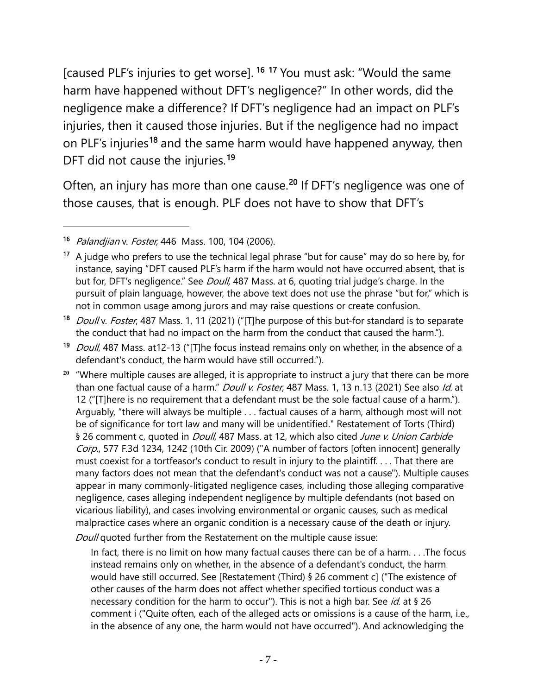[caused PLF's injuries to get worse]. <sup>[16](#page-6-0) [17](#page-6-1)</sup> You must ask: "Would the same harm have happened without DFT's negligence?" In other words, did the negligence make a difference? If DFT's negligence had an impact on PLF's injuries, then it caused those injuries. But if the negligence had no impact on PLF's injuries<sup>[18](#page-6-2)</sup> and the same harm would have happened anyway, then DFT did not cause the injuries. [19](#page-6-3)

Often, an injury has more than one cause.<sup>[20](#page-6-4)</sup> If DFT's negligence was one of those causes, that is enough. PLF does not have to show that DFT's

Doull quoted further from the Restatement on the multiple cause issue:

In fact, there is no limit on how many factual causes there can be of a harm. . . .The focus instead remains only on whether, in the absence of a defendant's conduct, the harm would have still occurred. See [Restatement (Third) § 26 comment c] ("The existence of other causes of the harm does not affect whether specified tortious conduct was a necessary condition for the harm to occur"). This is not a high bar. See *id*. at § 26 comment i ("Quite often, each of the alleged acts or omissions is a cause of the harm, i.e., in the absence of any one, the harm would not have occurred"). And acknowledging the

<span id="page-6-0"></span><sup>16</sup> Palandjian v. Foster, 446 Mass. 100, 104 (2006).

<span id="page-6-1"></span><sup>&</sup>lt;sup>17</sup> A judge who prefers to use the technical legal phrase "but for cause" may do so here by, for instance, saying "DFT caused PLF's harm if the harm would not have occurred absent, that is but for, DFT's negligence." See *Doull*, 487 Mass. at 6, quoting trial judge's charge. In the pursuit of plain language, however, the above text does not use the phrase "but for," which is not in common usage among jurors and may raise questions or create confusion.

<span id="page-6-2"></span><sup>18</sup> *Doull v. Foster*, 487 Mass. 1, 11 (2021) ("[T]he purpose of this but-for standard is to separate the conduct that had no impact on the harm from the conduct that caused the harm.").

<span id="page-6-3"></span><sup>&</sup>lt;sup>19</sup> Doull, 487 Mass. at12-13 ("[T]he focus instead remains only on whether, in the absence of a defendant's conduct, the harm would have still occurred.").

<span id="page-6-4"></span>**<sup>20</sup>** "Where multiple causes are alleged, it is appropriate to instruct a jury that there can be more than one factual cause of a harm." Doull v. Foster, 487 Mass. 1, 13 n.13 (2021) See also Id. at 12 ("[T]here is no requirement that a defendant must be the sole factual cause of a harm."). Arguably, "there will always be multiple . . . factual causes of a harm, although most will not be of significance for tort law and many will be unidentified." Restatement of Torts (Third) § 26 comment c, quoted in *Doull*, 487 Mass. at 12, which also cited June v. Union Carbide Corp., 577 F.3d 1234, 1242 (10th Cir. 2009) ("A number of factors [often innocent] generally must coexist for a tortfeasor's conduct to result in injury to the plaintiff. . . . That there are many factors does not mean that the defendant's conduct was not a cause"). Multiple causes appear in many commonly-litigated negligence cases, including those alleging comparative negligence, cases alleging independent negligence by multiple defendants (not based on vicarious liability), and cases involving environmental or organic causes, such as medical malpractice cases where an organic condition is a necessary cause of the death or injury.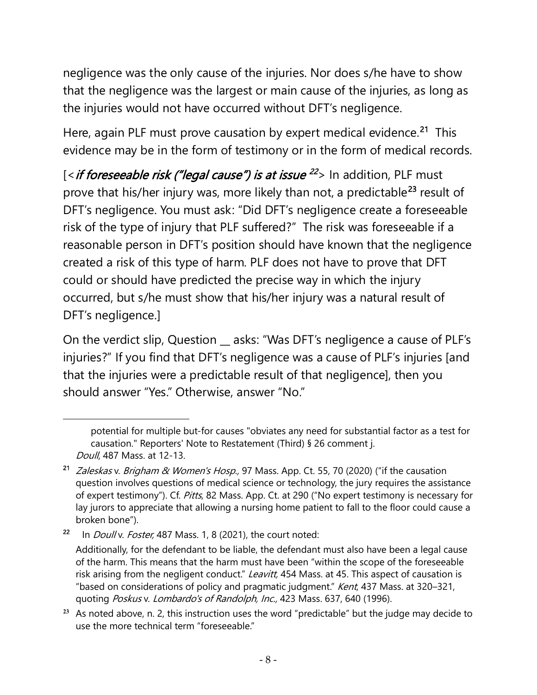negligence was the only cause of the injuries. Nor does s/he have to show that the negligence was the largest or main cause of the injuries, as long as the injuries would not have occurred without DFT's negligence.

Here, again PLF must prove causation by expert medical evidence.<sup>21</sup> This evidence may be in the form of testimony or in the form of medical records.

[<*if foreseeable risk ("legal cause") is at issue <sup>[22](#page-7-1)</sup>> In addition, PLF must* prove that his/her injury was, more likely than not, a predictable<sup>[23](#page-7-2)</sup> result of DFT's negligence. You must ask: "Did DFT's negligence create a foreseeable risk of the type of injury that PLF suffered?" The risk was foreseeable if a reasonable person in DFT's position should have known that the negligence created a risk of this type of harm. PLF does not have to prove that DFT could or should have predicted the precise way in which the injury occurred, but s/he must show that his/her injury was a natural result of DFT's negligence.]

On the verdict slip, Question \_\_ asks: "Was DFT's negligence a cause of PLF's injuries?" If you find that DFT's negligence was a cause of PLF's injuries [and that the injuries were a predictable result of that negligence], then you should answer "Yes." Otherwise, answer "No."

potential for multiple but-for causes "obviates any need for substantial factor as a test for causation." Reporters' Note to Restatement (Third) § 26 comment j. Doull, 487 Mass. at 12-13.

<span id="page-7-0"></span><sup>&</sup>lt;sup>21</sup> *Zaleskas v. Brigham & Women's Hosp.,* 97 Mass. App. Ct. 55, 70 (2020) ("if the causation question involves questions of medical science or technology, the jury requires the assistance of expert testimony"). Cf. Pitts, 82 Mass. App. Ct. at 290 ("No expert testimony is necessary for lay jurors to appreciate that allowing a nursing home patient to fall to the floor could cause a broken bone").

<span id="page-7-1"></span><sup>&</sup>lt;sup>22</sup> In *Doull v. Foster,* 487 Mass. 1, 8 (2021), the court noted:

Additionally, for the defendant to be liable, the defendant must also have been a legal cause of the harm. This means that the harm must have been "within the scope of the foreseeable risk arising from the negligent conduct." Leavitt, 454 Mass. at 45. This aspect of causation is "based on considerations of policy and pragmatic judgment." Kent, 437 Mass. at 320–321, quoting Poskus v. Lombardo's of Randolph, Inc., 423 Mass. 637, 640 (1996).

<span id="page-7-2"></span>**<sup>23</sup>** As noted above, n. 2, this instruction uses the word "predictable" but the judge may decide to use the more technical term "foreseeable"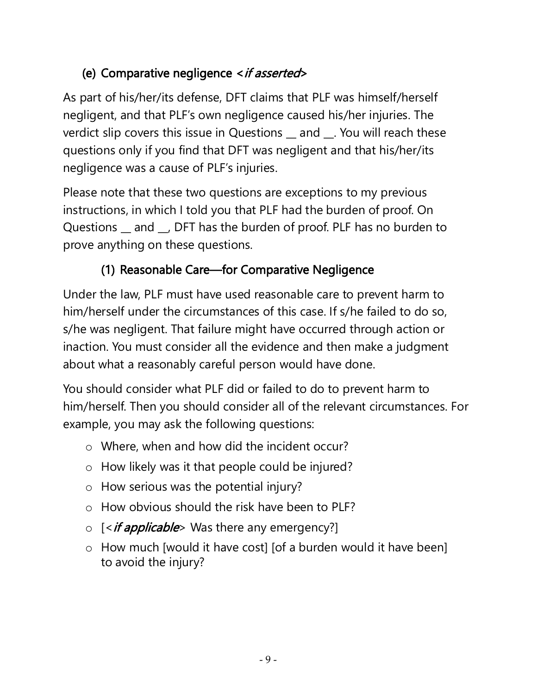## (e) Comparative negligence <if asserted>

As part of his/her/its defense, DFT claims that PLF was himself/herself negligent, and that PLF's own negligence caused his/her injuries. The verdict slip covers this issue in Questions \_\_ and \_\_. You will reach these questions only if you find that DFT was negligent and that his/her/its negligence was a cause of PLF's injuries.

Please note that these two questions are exceptions to my previous instructions, in which I told you that PLF had the burden of proof. On Questions \_ and \_, DFT has the burden of proof. PLF has no burden to prove anything on these questions.

## (1) Reasonable Care—for Comparative Negligence

Under the law, PLF must have used reasonable care to prevent harm to him/herself under the circumstances of this case. If s/he failed to do so, s/he was negligent. That failure might have occurred through action or inaction. You must consider all the evidence and then make a judgment about what a reasonably careful person would have done.

You should consider what PLF did or failed to do to prevent harm to him/herself. Then you should consider all of the relevant circumstances. For example, you may ask the following questions:

- o Where, when and how did the incident occur?
- o How likely was it that people could be injured?
- o How serious was the potential injury?
- o How obvious should the risk have been to PLF?
- $\circ$  [<*if applicable*> Was there any emergency?]
- o How much [would it have cost] [of a burden would it have been] to avoid the injury?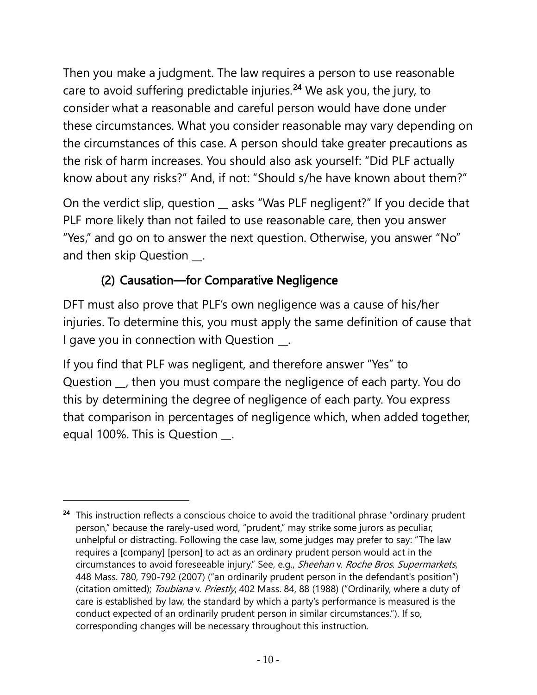Then you make a judgment. The law requires a person to use reasonable care to avoid suffering predictable injuries.<sup>[24](#page-9-0)</sup> We ask you, the jury, to consider what a reasonable and careful person would have done under these circumstances. What you consider reasonable may vary depending on the circumstances of this case. A person should take greater precautions as the risk of harm increases. You should also ask yourself: "Did PLF actually know about any risks?" And, if not: "Should s/he have known about them?"

On the verdict slip, question \_\_ asks "Was PLF negligent?" If you decide that PLF more likely than not failed to use reasonable care, then you answer "Yes," and go on to answer the next question. Otherwise, you answer "No" and then skip Question \_\_.

## (2) Causation—for Comparative Negligence

DFT must also prove that PLF's own negligence was a cause of his/her injuries. To determine this, you must apply the same definition of cause that I gave you in connection with Question \_\_.

If you find that PLF was negligent, and therefore answer "Yes" to Question \_\_, then you must compare the negligence of each party. You do this by determining the degree of negligence of each party. You express that comparison in percentages of negligence which, when added together, equal 100%. This is Question \_\_.

<span id="page-9-0"></span><sup>&</sup>lt;sup>24</sup> This instruction reflects a conscious choice to avoid the traditional phrase "ordinary prudent person," because the rarely-used word, "prudent," may strike some jurors as peculiar, unhelpful or distracting. Following the case law, some judges may prefer to say: "The law requires a [company] [person] to act as an ordinary prudent person would act in the circumstances to avoid foreseeable injury." See, e.g., Sheehan v. Roche Bros. Supermarkets, 448 Mass. 780, 790-792 (2007) ("an ordinarily prudent person in the defendant's position") (citation omitted); Toubiana v. Priestly, 402 Mass. 84, 88 (1988) ("Ordinarily, where a duty of care is established by law, the standard by which a party's performance is measured is the conduct expected of an ordinarily prudent person in similar circumstances."). If so, corresponding changes will be necessary throughout this instruction.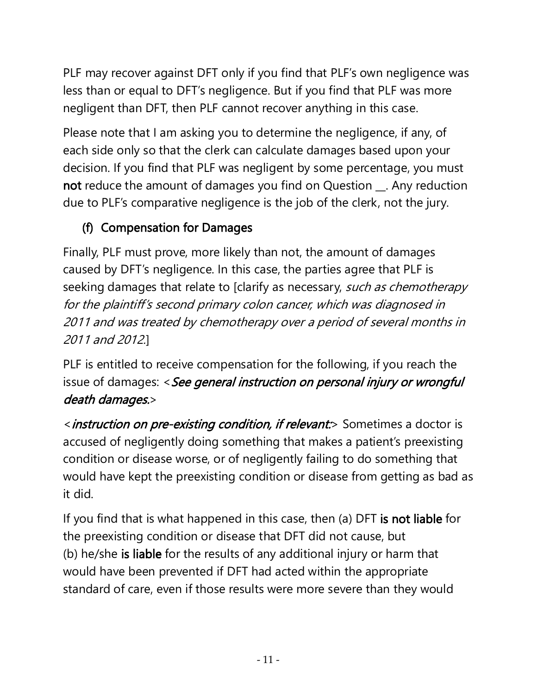PLF may recover against DFT only if you find that PLF's own negligence was less than or equal to DFT's negligence. But if you find that PLF was more negligent than DFT, then PLF cannot recover anything in this case.

Please note that I am asking you to determine the negligence, if any, of each side only so that the clerk can calculate damages based upon your decision. If you find that PLF was negligent by some percentage, you must not reduce the amount of damages you find on Question \_\_. Any reduction due to PLF's comparative negligence is the job of the clerk, not the jury.

# (f) Compensation for Damages

Finally, PLF must prove, more likely than not, the amount of damages caused by DFT's negligence. In this case, the parties agree that PLF is seeking damages that relate to [clarify as necessary, such as chemotherapy for the plaintiff's second primary colon cancer, which was diagnosed in 2011 and was treated by chemotherapy over a period of several months in 2011 and 2012.]

PLF is entitled to receive compensation for the following, if you reach the issue of damages: < See general instruction on personal injury or wrongful death damages.>

<*instruction on pre-existing condition, if relevant:*> Sometimes a doctor is accused of negligently doing something that makes a patient's preexisting condition or disease worse, or of negligently failing to do something that would have kept the preexisting condition or disease from getting as bad as it did.

If you find that is what happened in this case, then (a) DFT is not liable for the preexisting condition or disease that DFT did not cause, but (b) he/she is liable for the results of any additional injury or harm that would have been prevented if DFT had acted within the appropriate standard of care, even if those results were more severe than they would